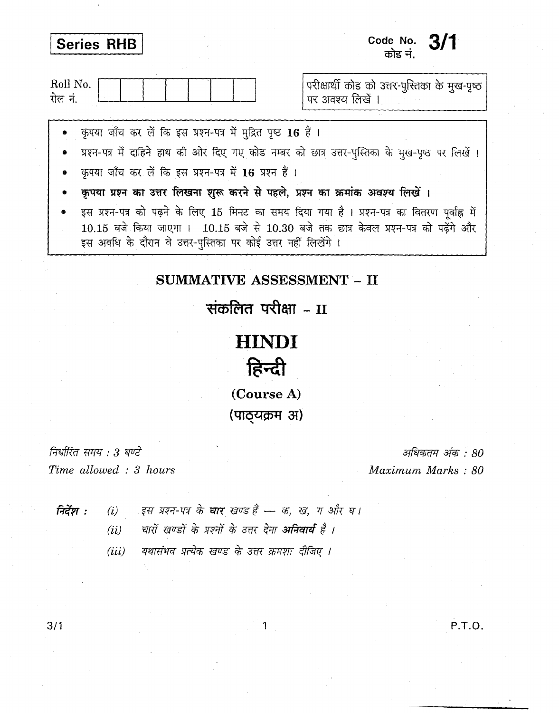| Series RHB                                                                                                                                                                                                                                                     | Code No. $3/1$<br>कोड नं.                                          |
|----------------------------------------------------------------------------------------------------------------------------------------------------------------------------------------------------------------------------------------------------------------|--------------------------------------------------------------------|
| Roll No.<br>रोल नं.                                                                                                                                                                                                                                            | परीक्षार्थी कोड को उत्तर-पुस्तिका के मुख-पृष्ठ<br>पर अवश्य लिखें । |
| • कृपया जाँच कर लें कि इस प्रश्न-पत्र में मुद्रित पृष्ठ 16 हैं ।<br>प्रश्न-पत्र में दाहिने हाथ की ओर दिए गए कोड नम्बर को छात्र उत्तर-पुस्तिका के मुख-पृष्ठ पर लिखें।<br>कृपया जाँच कर लें कि इस प्रश्न-पत्र में 16 प्रश्न हैं।                                 |                                                                    |
| कृपया प्रश्न का उत्तर लिखना शुरू करने से पहले, प्रश्न का क्रमांक अवश्य लिखें।                                                                                                                                                                                  |                                                                    |
| इस प्रश्न-पत्र को पढ़ने के लिए 15 मिनट का समय दिया गया है। प्रश्न-पत्र का वितरण पूर्वाह्न में<br>$10.15$ बजे किया जाएगा । $10.15$ बजे से $10.30$ बजे तक छात्र केवल प्रश्न-पत्र को पढ़ेंगे और<br>इस अवधि के दौरान वे उत्तर-पुस्तिका पर कोई उत्तर नहीं लिखेंगे । |                                                                    |

# SUMMATIVE ASSESSMENT - II

संकलित परीक्षा - II

# **HINDI**



(Course A) **(पाठ्यक्रम अ)** 

**निर्धारित समय : 3 घण्टे** *Time allowed:* 3 *hours*

अधिकतम अंक : 80 *Maximum Marks: 80*

**निर्देश :** (i) इस प्रश्न-पत्र के चार खण्ड हैं - क, ख, ग और घ।

(ii) वारों खण्डों के प्रश्नों के उत्तर देना **अनिवार्य** है ।

*(iii) यथासंभव प्रत्येक खण्ड के उत्तर क्रमशः दीजिए।* 

 $3/1$  P.T.O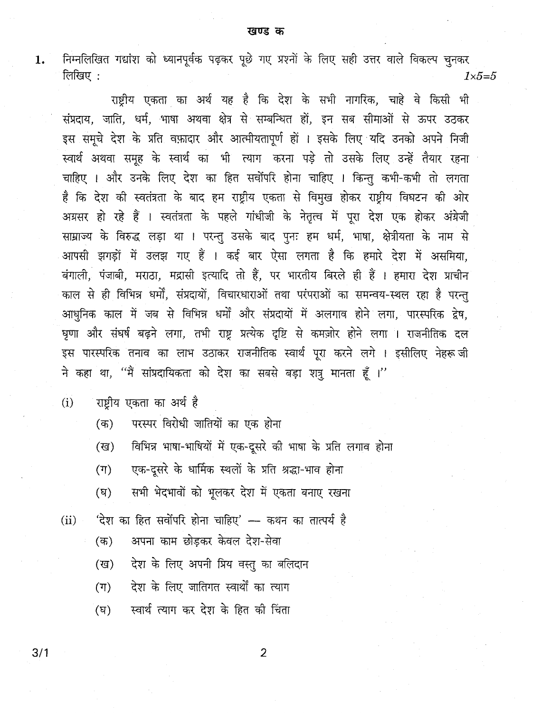निम्नलिखित गद्यांश को ध्यानपूर्वक पढ़कर पूछे गए प्रश्नों के लिए सही उत्तर वाले विकल्प चुनकर 1. लिखिए $:$  $1 \times 5 = 5$ 

राष्ट्रीय एकता का अर्थ यह है कि देश के सभी नागरिक, चाहे वे किसी भी संप्रदाय, जाति, धर्म, भाषा अथवा क्षेत्र से सम्बन्धित हों, इन सब सीमाओं से ऊपर उठकर इस समूचे देश के प्रति वफ़ादार और आत्मीयतापूर्ण हों । इसके लिए यदि उनको अपने निजी स्वार्थ अथवा समह के स्वार्थ का भी त्याग करना पड़े तो उसके लिए उन्हें तैयार रहना चाहिए । और उनके लिए देश का हित सर्वोपरि होना चाहिए । किन्त कभी-कभी तो लगता है कि देश की स्वतंत्रता के बाद हम राष्ट्रीय एकता से विमुख होकर राष्ट्रीय विघटन की ओर अग्रसर हो रहे हैं । स्वतंत्रता के पहले गांधीजी के नेतृत्व में पूरा देश एक होकर अंग्रेजी साम्राज्य के विरुद्ध लड़ा था । परन्तु उसके बाद पुनः हम धर्म, भाषा, क्षेत्रीयता के नाम से आपसी झगड़ों में उलझ गए हैं । कई बार ऐसा लगता है कि हमारे देश में असमिया, बंगाली, पंजाबी, मराठा, मद्रासी इत्यादि तो हैं, पर भारतीय बिरले ही हैं । हमारा देश प्राचीन काल से ही विभिन्न धर्मों, संप्रदायों, विचारधाराओं तथा परंपराओं का समन्वय-स्थल रहा है परन्त आधनिक काल में जब से विभिन्न धर्मों और संप्रदायों में अलगाव होने लगा, पारस्परिक द्वेष, घृणा और संघर्ष बढ़ने लगा, तभी राष्ट्र प्रत्येक दृष्टि से कमज़ोर होने लगा । राजनीतिक दल इस पारस्परिक तनाव का लाभ उठाकर राजनीतिक स्वार्थ परा करने लगे। इसीलिए नेहरू जी ने कहा था, "मैं सांप्रदायिकता को देश का सबसे बड़ा शत्रु मानता हूँ ।"

- राष्टीय एकता का अर्थ है  $(i)$ 
	- परस्पर विरोधी जातियों का एक होना  $($ क)
	- विभिन्न भाषा-भाषियों में एक-दूसरे की भाषा के प्रति लगाव होना  $(\overline{q})$
	- एक-दूसरे के धार्मिक स्थलों के प्रति श्रद्धा-भाव होना  $(T)$
	- सभी भेदभावों को भूलकर देश में एकता बनाए रखना  $(\nabla)$
- 'देश का हित सर्वोपरि होना चाहिए' –– कथन का तात्पर्य है  $(ii)$ 
	- अपना काम छोडकर केवल देश-सेवा  $($ क)
	- देश के लिए अपनी प्रिय वस्तू का बलिदान (ख)
	- देश के लिए जातिगत स्वार्थों का त्याग  $(T)$
	- स्वार्थ त्याग कर देश के हित की चिंता (घ़)

 $3/1$ 

 $\overline{2}$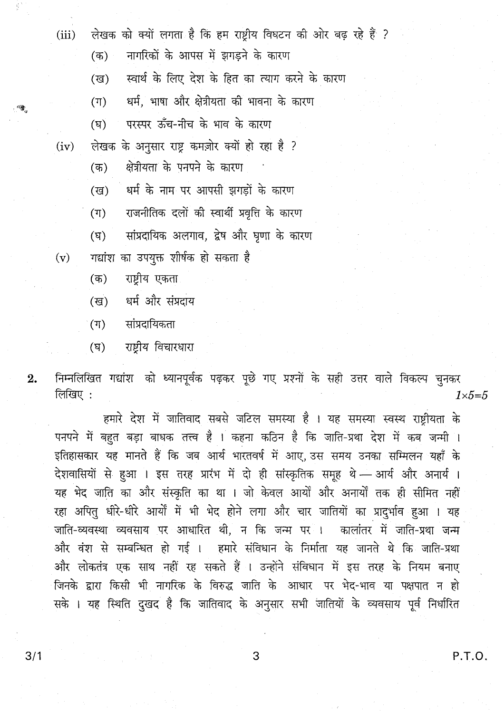(iii) लेखक को क्यों लगता है कि हम राष्ट्रीय विघटन की ओर बढ़ रहे हैं ?

(क) नागरिकों के आपस में झगड़ने के कारण

(ख) नस्वार्थ के लिए देश के हित का त्याग करने के कारण

(ग) ज्यर्म, भाषा और क्षेत्रीयता की भावना के कारण

(घ) परस्पर ऊँच-नीच के भाव के कारण

(iv) लेखक के अनुसार राष्ट्र कमज़ोर क्यों हो रहा है ?

(क) क्षेत्रीयता के पनपने के कारण

- (ख) वर्म के नाम पर आपसी झगड़ों के कारण
- (ग) राजनीतिक दलों की स्वार्थी प्रवृत्ति के कारण
- (घ) सांप्रदायिक अलगाव, द्वेष और घृणा के कारण
- $(v)$  नद्यांश का उपयुक्त शीर्षक हो सकता है
	- (क) राष्ट्रीय एकता
	- (ख) धर्म और संप्रदाय
	- (ग) सांप्रदायिकता
	- (घ) राष्ट्रीय विचारधारा

**2.** निम्नलिखित गद्यांश को ध्यानपूर्वक पढ़कर पूछे गए प्रश्नों के सही उत्तर वाले विकल्प चुनकर<br>[*1*  $\frac{1}{\text{val}}$  :  $\frac{1}{\text{val}}$  :  $\frac{1}{\text{val}}$  :  $\frac{1}{\text{val}}$  :  $\frac{1}{\text{val}}$  :  $\frac{1}{\text{val}}$  :  $\frac{1}{\text{val}}$  :  $\frac{1}{\text{val}}$  :  $\frac{1}{\text{val}}$  :  $\frac{1}{\text{val}}$  :  $\frac{1}{\text{val}}$  :  $\frac{1}{\text{val}}$  :  $\frac{1}{\text{val}}$  :  $\frac{1}{\text{val}}$  :  $\frac{1}{\text{val}}$ 

हमारे देश में जातिवाद सबसे जटिल समस्या है । यह समस्या स्वस्थ राष्ट्रीयता के पनपने में बहुत बड़ा बाधक तत्त्व है । कहना कठिन है कि जाति-प्रथा देश में कब जन्मी । इतिहासकार यह मानते हैं कि जब आर्य भारतवर्ष में आए उस समय उनका सम्मिलन यहाँ के देशवासियों से हुआ । इस तरह प्रारंभ में दो ही सांस्कृतिक समूह थे - आर्य और अनार्य । यह भेद जाति का और संस्क्रति का था । जो केवल आर्यों और अनार्यों तक ही सीमित नहीं रहा अपित् धीरे-धीरे आर्यों में भी भेद होने लगा और चार जातियों का प्रादुर्भाव हुआ । यह जाति-व्यवस्था व्यवसाय पर आधारित थी, न कि जन्म पर । कालांतर में जाति-प्रथा जन्म और वंश से सम्बन्धित हो गई । हमारे संविधान के निर्माता यह जानते थे कि जाति-प्रथा और लोकतंत्र एक साथ नहीं रह सकते हैं । उन्होंने संविधान में इस तरह के नियम बनाए जिनके द्वारा किसी भी नागरिक के विरुद्ध जाति के आधार पर भेद-भाव या पक्षपात न हो सके । यह स्थिति दुखद है कि जातिवाद के अनुसार सभी जातियों के व्यवसाय पूर्व निर्धारित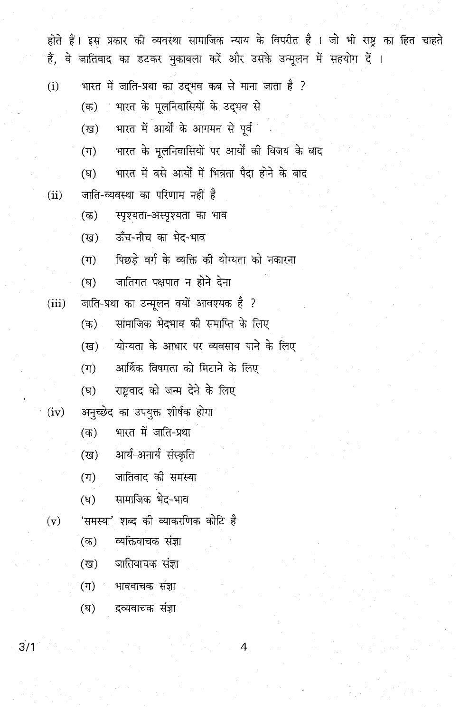होते हैं। इस प्रकार की व्यवस्था सामाजिक न्याय के विपरीत है । जो भी राष्ट का हित चाहते हैं. वे जातिवाद का डटकर मकाबला करें और उसके उन्मलन में सहयोग दें ।

- भारत में जाति-प्रथा का उदभव कब से माना जाता है ?  $(i)$ 
	- भारत के मुलनिवासियों के उद्भव से  $($ क)
	- भारत में आयों के आगमन से पूर्व (ख)
	- भारत के मलनिवासियों पर आर्यों की विजय के बाद  $(T)$
	- भारत में बसे आयों में भिन्नता पैदा होने के बाद  $(\overline{q})$
- जाति-व्यवस्था का परिणाम नहीं है  $(ii)$ 
	- स्पृश्यता-अस्पृश्यता का भाव  $(\overline{a})$
	- ऊँच-नीच का भेट-भाव (ख)
	- पिछड़े वर्ग के व्यक्ति की योग्यता को नकारना  $(\pi)$
	- जातिगत पक्षपात न होने देना  $(\nabla)$
- जाति-प्रथा का उन्मूलन क्यों आवश्यक है ?  $(iii)$ 
	- सामाजिक भेदभाव की समाप्ति के लिए  $($ क)
	- योग्यता के आधार पर व्यवसाय पाने के लिए (ख)
	- आर्थिक विषमता को मिटाने के लिए  $(\pi)$
	- राष्टवाद को जन्म देने के लिए  $(\nabla)$
- अनुच्छेद का उपयुक्त शीर्षक होगा  $(iv)$ 
	- भारत में जाति-प्रथा  $($ क)
	- आर्य-अनार्य संस्कृति (ख)
	- जातिवाद की समस्या  $(\Pi)$
	- सामाजिक भेद-भाव  $(\nabla)$
- 'समस्या' शब्द की व्याकरणिक कोटि है  $(v)$ 
	- व्यक्तिवाचक संज्ञा  $(\overline{\sigma})$
	- जातिवाचक संज्ञा  $(\overline{g})$
	- $(\Pi)$ भाववाचक संज्ञा
	- $(\overline{\mathbf{F}})$ द्रव्यवाचक संज्ञा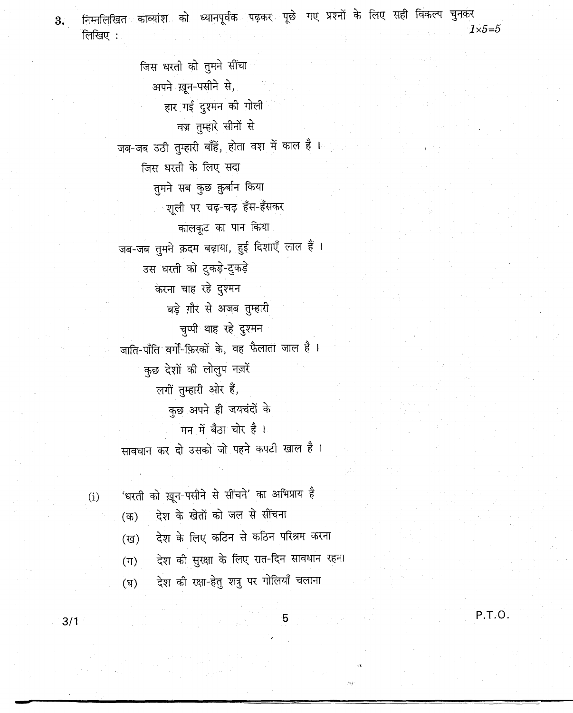निम्नलिखित काव्यांश को ध्यानपूर्वक पढ़कर पूछे गए प्रश्नों के लिए सही विकल्प चुनकर 3.  $1\times 5=5$ लिखिए:

> जिस धरती को तुमने सींचा अपने ख़ून-पसीने से, हार गई दुश्मन की गोली वज्र तुम्हारे सीनों से जब-जब उठी तुम्हारी बाँहें, होता वश में काल है । जिस धरती के लिए सदा तुमने सब कुछ क़ुर्बान किया शूली पर चढ़-चढ़ हँस-हँसकर कालकूट का पान किया जब-जब तुमने क़दम बढ़ाया, हुई दिशाएँ लाल हैं। उस धरती को टुकड़े-टुकड़े करना चाह रहे दुश्मन बड़े ग़ौर से अजब तुम्हारी चुप्पी थाह रहे दुश्मन जाति-पाँति वर्गों-फ़िरकों के, वह फैलाता जाल है। कुछ देशों की लोलुप नज़रें लगी तुम्हारी ओर हैं, कछ अपने ही जयचंदों के मन में बैठा चोर है। सावधान कर दो उसको जो पहने कपटी खाल है।

'धरती को ख़ून-पसीने से सींचने' का अभिप्राय है  $(i)$ 

> देश के खेतों को जल से सींचना  $(5)$

देश के लिए कठिन से कठिन परिश्रम करना  $(\overline{g})$ 

देश की सुरक्षा के लिए रात-दिन सावधान रहना  $(T)$ 

5

देश की रक्षा-हेतु शत्रु पर गोलियाँ चलाना  $(\overline{v})$ 

P.T.O.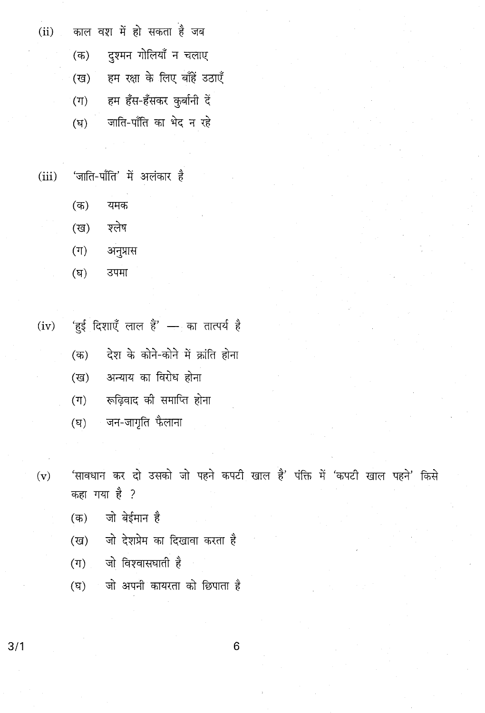काल वश में हो सकता है जब  $(ii)$ दश्मन गोलियाँ न चलाए  $($ क)

> हम रक्षा के लिए बाँहें उठाएँ (ख)

हम हँस-हँसकर कुर्बानी दें  $(\mathbb{T})$ 

जाति-पाँति का भेद न रहे  $(\overline{B})$ 

'जाति-पाँति' में अलंकार है  $(iii)$ 

- $($ क) यमक
- श्लेष  $(\overline{u})$
- अनुप्रास  $(\Pi)$
- $(\nabla)$ उपमा

'हुई दिशाएँ लाल हैं' — का तात्पर्य है  $(iv)$ 

- देश के कोने-कोने में क्रांति होना  $($ क)
- अन्याय का विरोध होना (ख)
- रूढ़िवाद की समाप्ति होना  $(\Pi)$
- जन-जागृति फैलाना  $(\overline{\mathrm{g}})$

'सावधान कर दो उसको जो पहने कपटी खाल है' पंक्ति में 'कपटी खाल पहने' किसे  $(v)$ कहा गया है ?

- जो बेईमान है  $($ क)
- जो देशप्रेम का दिखावा करता है (ख)
- जो विश्वासघाती है  $(\Pi)$
- जो अपनी कायरता को छिपाता है  $(\mathbb{F})$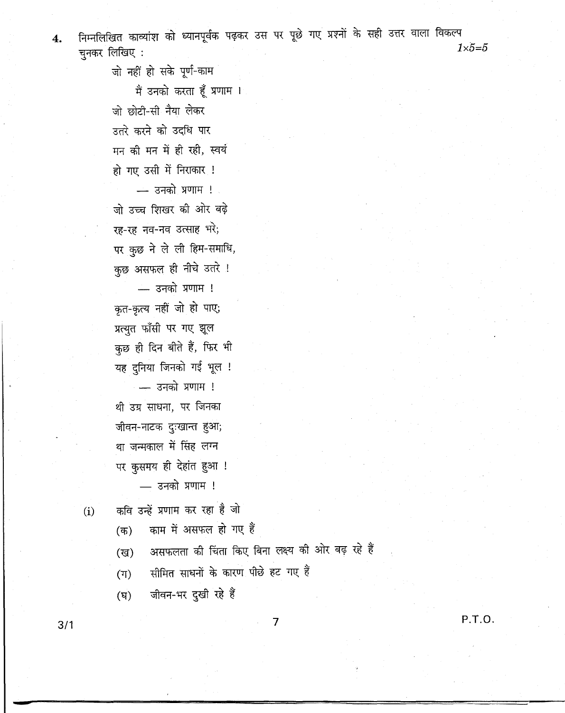निम्नलिखित काव्यांश को ध्यानपूर्वक पढ़कर उस पर पूछे गए प्रश्नों के सही उत्तर वाला विकल्प  $\overline{4}$ .  $1\times5=5$ चुनकर लिखिए:

> जो नहीं हो सके पूर्ण-काम मैं उनको करता हूँ प्रणाम । जो छोटी-सी नैया लेकर उतरे करने को उदधि पार मन की मन में ही रही, स्वयं हो गए उसी में निराकार !  $-$  उनको प्रणाम !

जो उच्च शिखर की ओर बढ़े रह-रह नव-नव उत्साह भरे; पर कुछ ने ले ली हिम-समाधि, कुछ असफल ही नीचे उतरे !

 $-$  उनको प्रणाम ! कृत-कृत्य नहीं जो हो पाए; प्रत्युत फाँसी पर गए झूल कुछ ही दिन बीते हैं, फिर भी यह दुनिया जिनको गई भूल !

- उनको प्रणाम ! थी उग्र साधना, पर जिनका जीवन-नाटक दुःखान्त हुआ; था जन्मकाल में सिंह लग्न पर कुसमय ही देहांत हुआ !

- उनको प्रणाम !

 $(i)$  कवि उन्हें प्रणाम कर रहा है जो

(क) काम में असफल हो गए हैं

(घ) जीवन-भर दुखी रहे हैं

3/1

P.T.D.

7

(ख) असफलता की चिंता किए बिना लक्ष्य की ओर बढ़ रहे हैं

 $(\pi)$  सीमित साधनों के कारण पीछे हट गए हैं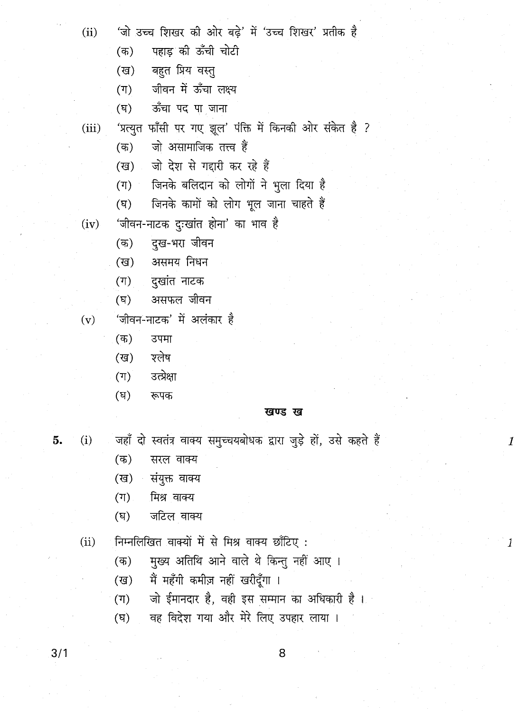- $(ii)$
- 'जो उच्च शिखर की ओर बढ़े' में 'उच्च शिखर' प्रतीक है
	- पहाड की ऊँची चोटी  $($ क)
	- बहुत प्रिय वस्तु (ख)
	- जीवन में ऊँचा लक्ष्य  $(T)$
	- ऊँचा पद पा जाना  $(\overline{B})$
- 'प्रत्युत फाँसी पर गए झूल' पंक्ति में किनकी ओर संकेत है ?  $(iii)$ 
	- जो असामाजिक तत्त्व हैं  $($ क)
	- जो देश से गद्दारी कर रहे हैं (ख)
	- जिनके बलिदान को लोगों ने भूला दिया है  $(\Pi)$
	- जिनके कामों को लोग भूल जाना चाहते हैं  $(\nabla)$
- 'जीवन-नाटक दुःखांत होना' का भाव है  $(iv)$ 
	- दुख-भरा जीवन  $($ क)
	- असमय निधन (ख)
	- दुखांत नाटक  $(T)$
	- $(\overline{v})$ असफल जीवन
- 'जीवन-नाटक' में अलंकार है  $(v)$ 
	- $($ क) उपमा
	- श्लेष (ख)
	- उत्प्रेक्षा  $(T)$
	- $(\overline{F})$ रूपक

#### खण्ड ख

 $\boldsymbol{\mathit{1}}$ 

1

- 5.  $(i)$
- $($ क) सरल वाक्य
- संयुक्त वाक्य  $(\overline{g})$
- $(T)$ मिश्र वाक्य
- $(\nabla)$ जटिल वाक्य

निम्नलिखित वाक्यों में से मिश्र वाक्य छाँटिए:  $(ii)$ 

- मुख्य अतिथि आने वाले थे किन्तु नहीं आए।  $($ क)
- मैं महँगी कमीज़ नहीं खरीदूँगा । (ख)
- जो ईमानदार है, वही इस सम्मान का अधिकारी है।  $(T)$

जहाँ दो स्वतंत्र वाक्य समुच्चयबोधक द्वारा जुड़े हों, उसे कहते हैं

वह विदेश गया और मेरे लिए उपहार लाया ।  $(\overline{v})$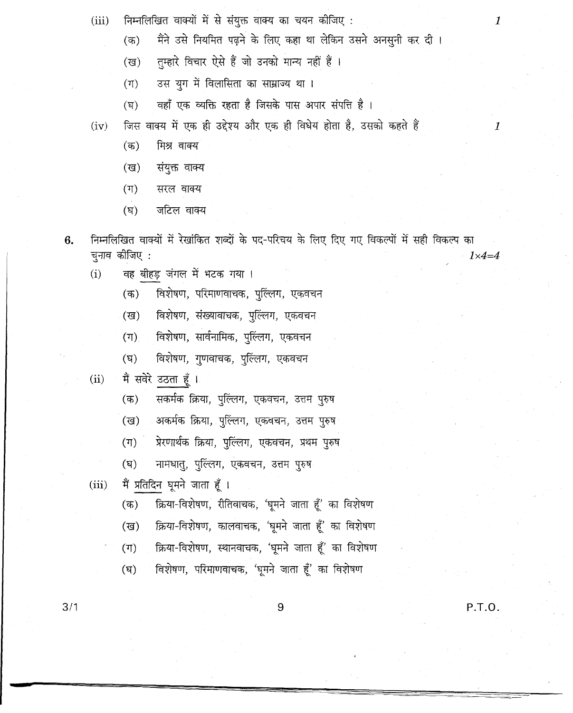- निम्नलिखित वाक्यों में से संयुक्त वाक्य का चयन कीजिए:  $(iii)$ 
	- $(\overline{a})$ मैंने उसे नियमित पढ़ने के लिए कहा था लेकिन उसने अनसुनी कर दी।
	- तम्हारे विचार ऐसे हैं जो उनको मान्य नहीं हैं।  $(\overline{\mathsf{g}})$
	- उस युग में विलासिता का साम्राज्य था।  $(\Pi)$
	- वहाँ एक व्यक्ति रहता है जिसके पास अपार संपत्ति है।  $(\nabla)$
- जिस वाक्य में एक ही उद्देश्य और एक ही विधेय होता है, उसको कहते हैं  $(iv)$ 
	- मिश्र वाक्य  $($ क)
	- संयुक्त वाक्य  $(\overline{g})$
	- $(\pi)$ सरल वाक्य
	- $(\nabla)$ जटिल वाक्य
- निम्नलिखित वाक्यों में रेखांकित शब्दों के पद-परिचय के लिए दिए गए विकल्पों में सही विकल्प का 6. चुनाव कीजिए :  $1 \times 4 = 4$ 
	- वह बीहड़ जंगल में भटक गया ।  $(i)$ 
		- विशेषण, परिमाणवाचक, पुल्लिंग, एकवचन  $($ क)
		- विशेषण, संख्यावाचक, पुल्लिंग, एकवचन  $(\overline{g})$
		- विशेषण, सार्वनामिक, पुल्लिंग, एकवचन  $(T)$
		- $(\overline{v})$ विशेषण, गुणवाचक, पुल्लिंग, एकवचन
	- मैं सवेरे उठता हूँ ।  $(ii)$ 
		- सकर्मक क्रिया, पुल्लिंग, एकवचन, उत्तम पुरुष  $($ क)
		- अकर्मक क्रिया, पुल्लिग, एकवचन, उत्तम पुरुष (ख)
		- प्रेरणार्थक क्रिया, पुल्लिंग, एकवचन, प्रथम पुरुष  $(\Pi)$
		- नामधातु, पुल्लिंग, एकवचन, उत्तम पुरुष  $(\nabla)$
	- मैं प्रतिदिन घूमने जाता हूँ ।  $(iii)$ 
		- क्रिया-विशेषण, रीतिवाचक, 'घूमने जाता हूँ' का विशेषण  $($ क)
		- क्रिया-विशेषण, कालवाचक, 'घूमने जाता हूँ' का विशेषण (ख)
		- क्रिया-विशेषण, स्थानवाचक, 'घूमने जाता हूँ' का विशेषण  $(T)$
		- विशेषण, परिमाणवाचक, 'घूमने जाता हूँ' का विशेषण  $(\overline{q})$

 $3/1$ 

P.T.O.

 $\boldsymbol{1}$ 

 $\mathcal{I}$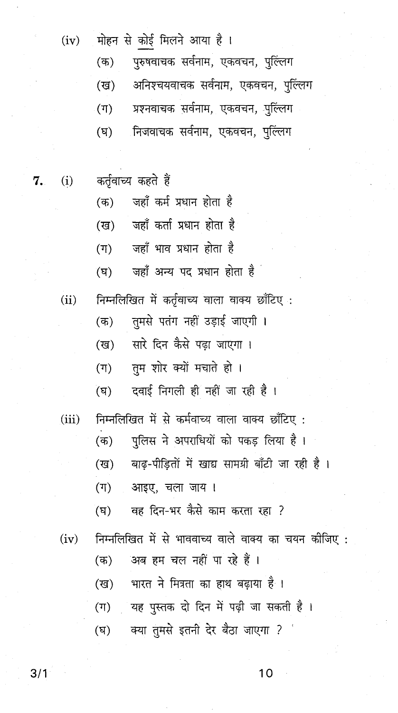- (iv) मोहन से कोई मिलने आया है।
	- (क) पुरुषवाचक सर्वनाम, एकवचन, पुल्लिंग (ख) अनिश्चयवाचक सर्वनाम, एकवचन, पुल्लिग (ग) - प्रश्नवाचक सर्वनाम, एकवचन, पुल्लिंग (घ) निजवाचक सर्वनाम, एकवचन, पुल्लिंग
- 7. (i) कर्तृवाच्य कहते हैं
	- (क) जहाँ कर्म प्रधान होता है
	- (ख) जहाँ कर्ता प्रधान होता है
	- (ग) जहाँ भाव प्रधान होता है
	- (घ) जहाँ अन्य पद प्रधान होता है
	- (ii) निम्नलिखित में कर्तृवाच्य वाला वाक्य छाँटिए :
		- (क) तुमसे पतंग नहीं उड़ाई जाएगी ।
			- (ख) सारे दिन कैसे पढ़ा जाएगा ।
			- (ग) तम शोर क्यों मचाते हो ।
			- $($ घ) विवाई निगली ही नहीं जा रही है।
	- (iii) निम्नलिखित में से कर्मवाच्य वाला वाक्य छाँटिए :
		- (क) पुलिस ने अपराधियों को पकड़ लिया है।
		- (ख) वाढ-पीडितों में खाद्य सामग्री बाँटी जा रही है।
		- (ग) आइए, चला जाय ।
		- (घ) वह दिन-भर कैसे काम करता रहा ?
	- $(iv)$  निम्नलिखित में से भाववाच्य वाले वाक्य का चयन कीजिए : (क) अब हम चल नहीं पा रहे हैं । (ख) भारत ने मित्रता का हाथ बढ़ाया है ।  $(T)$  वह पुस्तक दो दिन में पढ़ी जा सकती है। (घ) वया तुमसे इतनी देर बैठा जाएगा ?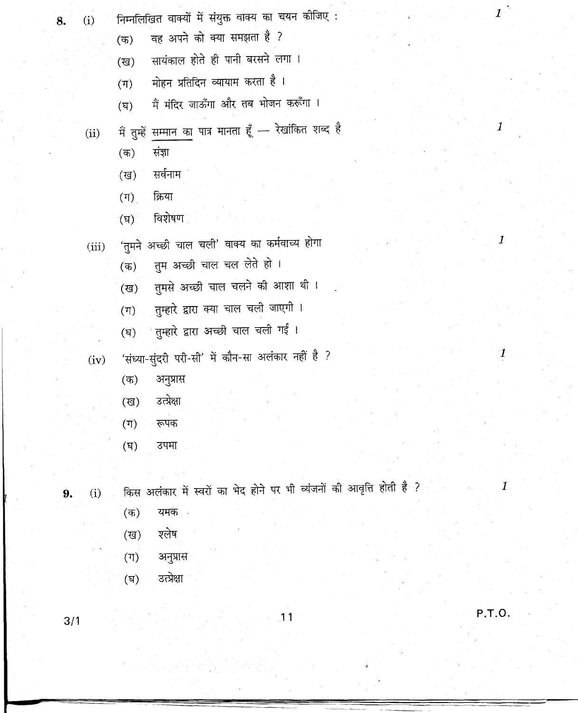- 8.
- निम्नलिखित वाक्यों में संयुक्त वाक्य का चयन कीजिए :  $(i)$ 
	- वह अपने को क्या समझता है ?  $\mathcal{F}(\overline{\mathfrak{B}})$
	- सायंकाल होते ही पानी बरसने लगा ।  $(\overline{g})$
	- मोहन प्रतिदिन व्यायाम करता है ।  $(T)$
	- मैं मंदिर जाऊँगा और तब भोजन करूँगा ।  $(\nabla)$
	- में तुम्हें सम्मान का पात्र मानता हूँ रेखांकित शब्द है  $(ii)$ 
		- संज्ञा  $(\overline{a})$
		- सर्वनाम  $(\overline{g})$
		-
		- $(T)$ क्रिया

 $(\overline{g})$ 

 $(T)$ 

 $(\overline{F})$ 

 $($ क)

(ख)

 $(\Pi)$ 

 $(\mathbf{q})$ 

 $(\overline{a})$ 

(ख)

 $(T)$ 

 $(iv)$ 

 $(i)$ 

9.

- 
- विशेषण  $\mathbf{F}(\mathbf{F})$

अनुप्रास

उत्प्रेक्षा

रूपक

उपमा

यमक -

अनुप्रास

श्लेष

- 
- 
- 
- -
- 'तुमने अच्छी चाल चली' वाक्य का कर्मवाच्य होगा  $(iii)$ 
	- तुम अच्छी चाल चल लेते हो ।  $\overline{(\overline{a})}$
	- -
	-
- 

किस अलंकार में स्वरों का भेद होने पर भी व्यंजनों की आवृत्ति होती है ?

 $11$ 

तुमसे अच्छी चाल चलने की आशा थी।

तुम्हारे द्वारा क्या चाल चली जाएगी ।

्तुम्हारे द्वारा अच्छी चाल चली गई ।

'संध्या-सुंदरी परी-सी' में कौन-सा अलंकार नहीं है ?

 $\boldsymbol{1}$ 

 $\boldsymbol{1}$ 

 $\overline{I}$ 

 $\boldsymbol{\mathit{1}}$ 

P.T.O.

- उत्प्रेक्षा  $(\overline{v})$
- $3/1$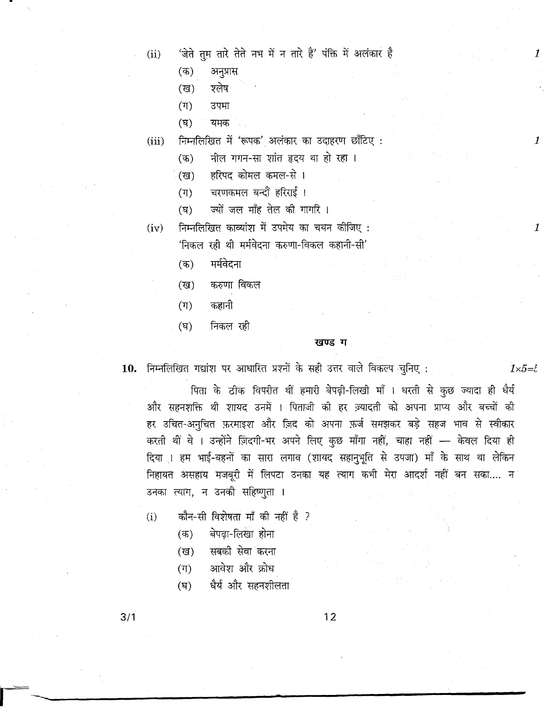$(ii)$ 

- अनुप्रास (ক)
- श्लेष  $(\overline{u})$

 $(\mathbb{T})$ उपमा

 $(\nabla)$ यमक

निम्नलिखित में 'रूपक' अलंकार का उदाहरण छाँटिए :  $(iii)$ 

- नील गगन-सा शांत हृदय था हो रहा ।  $($ क)
- हरिपद कोमल कमल-से । (ख)
- $(\mathbb{F})$ चरणकमल बन्दौं हरिराई ।
- ज्यों जल माँह तेल की गागरि ।  $(\vec{p})$
- निम्नलिखित काव्यांश में उपमेय का चयन कीजिए:  $(iv)$ 'निकल रही थी मर्मवेदना करुणा-विकल कहानी-सी'
	- मर्मवेदना  $(\overline{a})$
	- करुणा विकल (ख)
	- कहानी  $(\mathbb{F})$
	- निकल रही  $(\nabla)$

#### खण्ड ग

10. निम्नलिखित गद्यांश पर आधारित प्रश्नों के सही उत्तर वाले विकल्प चुनिए:

पिता के ठीक विपरीत थीं हमारी बेपढ़ी-लिखी माँ । धरती से कुछ ज्यादा ही धैर्य और सहनशक्ति थी शायद उनमें । पिताजी की हर ज़्यादती को अपना प्राप्य और बच्चों की हर उचित-अनुचित फ़रमाइश और ज़िद को अपना फ़र्ज समझकर बड़े सहज भाव से स्वीकार करती थीं वे । उन्होंने ज़िंदगी-भर अपने लिए कुछ माँगा नहीं, चाहा नहीं - केवल दिया ही दिया । हम भाई-बहनों का सारा लगाव (शायद सहानुभूति से उपजा) माँ के साथ था लेकिन निहायत असहाय मजबूरी में लिपटा उनका यह त्याग कभी मेरा आदर्श नहीं बन सका.... न उनका त्याग, न उनकी सहिष्णुता ।

- कौन-सी विशेषता माँ की नहीं है ?  $(i)$ 
	- बेपढ़ा-लिखा होना  $($ क)
	- सबकी सेवा करना (ख)
	- आवेश और क्रोध  $(\Pi)$
	- धैर्य और सहनशीलता  $(\overline{q})$

 $12$ 

 $1\times 5 = 5$ 

 $\mathcal{I}$ 

 $\mathbf{1}$ 

 $\boldsymbol{l}$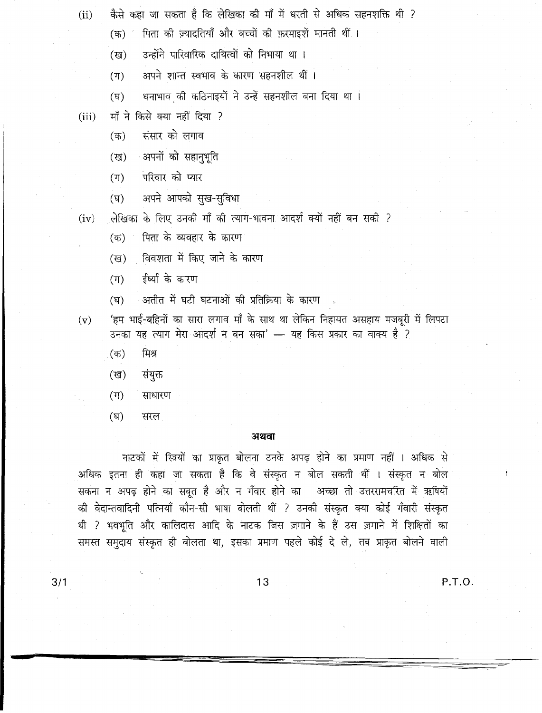- कैसे कहा जा सकता है कि लेखिका की माँ में धरती से अधिक सहनशक्ति थी ?  $(ii)$ 
	- पिता की ज़्यादतियाँ और बच्चों की फ़रमाइशें मानती थीं ।  $($ क)
	- उन्होंने पारिवारिक दायित्वों को निभाया था।  $(3)$
	- अपने शान्त स्वभाव के कारण सहनशील थीं।  $(\Pi)$
	- धनाभाव की कठिनाइयों ने उन्हें सहनशील बना दिया था ।  $(\nabla)$
- माँ ने किसे क्या नहीं दिया ?  $(iii)$ 
	- संसार को लगाव  $(\overline{a})$
	- अपनों को सहानुभूति (ख)
	- परिवार को प्यार  $(T)$
	- अपने आपको सुख-सुविधा  $(\nabla)$

लेखिका के लिए उनकी माँ की त्याग-भावना आदर्श क्यों नहीं बन सकी ?  $(iv)$ 

- पिता के व्यवहार के कारण (क)
- विवशता में किए जाने के कारण (ख)
- ईर्ष्या के कारण  $(\Pi)$
- अतीत में घटी घटनाओं की प्रतिक्रिया के कारण  $(\nabla)$

'हम भाई-बहिनों का सारा लगाव माँ के साथ था लेकिन निहायत असहाय मजबूरी में लिपटा  $(v)$ यह त्याग मेरा आदर्श न बन सका' — यह किस प्रकार का वाक्य है ? उनका

- मिश्र  $($ क)
- संयुक्त  $(\overline{g})$
- $(T)$ साधारण
- $(\nabla)$ सरल

## अथवा

नाटकों में स्त्रियों का प्राकृत बोलना उनके अपढ़ होने का प्रमाण नहीं । अधिक से अधिक इतना ही कहा जा सकता है कि वे संस्कृत न बोल सकती थीं । संस्कृत न बोल सकना न अपढ़ होने का सबत है और न गँवार होने का । अच्छा तो उत्तररामचरित में ऋषियों की वेदान्तवादिनी पत्नियाँ कौन-सी भाषा बोलती थीं ? उनकी संस्कृत क्या कोई गँवारी संस्कृत थी ? भवभूति और कालिदास आदि के नाटक जिस ज़माने के हैं उस ज़माने में शिक्षितों का समस्त समुदाय संस्कृत ही बोलता था, इसका प्रमाण पहले कोई दे ले, तब प्राकृत बोलने वाली

P.T.O.

 $13$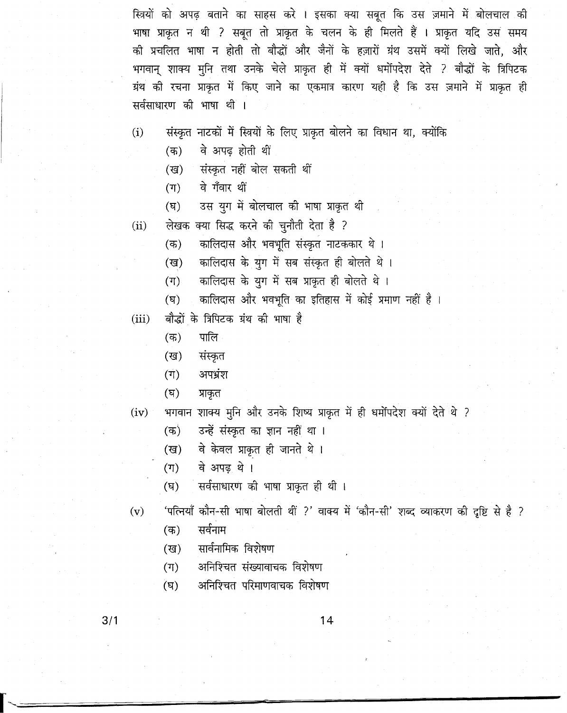स्त्रियों को अपढ़ बताने का साहस करे । इसका क्या सबूत कि उस ज़माने में बोलचाल की भाषा प्राकृत न थी ? सबूत तो प्राकृत के चलन के ही मिलते हैं । प्राकृत यदि उस समय की प्रचलित भाषा न होती तो बौद्धों और जैनों के हज़ारों ग्रंथ उसमें क्यों लिखे जाते, और भगवान् शाक्य मुनि तथा उनके चेले प्राकृत ही में क्यों धर्मोपदेश देते ? बौद्धों के त्रिपिटक ग्रंथ की रचना प्राकृत में किए जाने का एकमात्र कारण यही है कि उस ज़माने में प्राकृत ही सर्वसाधारण की भाषा थीं ।

- संस्कृत नाटकों में स्त्रियों के लिए प्राकृत बोलने का विधान था, क्योंकि  $(i)$ 
	- वे अपढ़ होती थीं  $($ क)
	- संस्कृत नहीं बोल सकती थीं (ख)
	- $(\mathbb{T})$ वे गँवार थीं
	- उस युग में बोलचाल की भाषा प्राकृत थी  $(\nabla)$
- लेखक क्या सिद्ध करने की चुनौती देता है ?  $(ii)$ 
	- कालिदास और भवभूति संस्कृत नाटककार थे।  $($ क)
	- कालिदास के युग में सब संस्कृत ही बोलते थे।  $(\overline{g})$
	- कालिदास के युग में सब प्राकृत ही बोलते थे।  $(\Pi)$
	- कालिदास और भवभूति का इतिहास में कोई प्रमाण नहीं है।  $(\overline{v})$
- बौद्धों के त्रिपिटक ग्रंथ की भाषा है  $(iii)$ 
	- पालि  $($ क)
	- संस्कृत (ख)
	- अपभ्रंश  $(\vec{\tau})$
	- (घ) प्राकृत
- भगवान शाक्य मुनि और उनके शिष्य प्राकृत में ही धर्मोपदेश क्यों देते थे ?  $(iv)$ 
	- उन्हें संस्कृत का ज्ञान नहीं था।  $($ क)
	- वे केवल प्राकृत ही जानते थे। (ख)
	- वे अपढ़ थे।  $(\Pi)$
	- सर्वसाधारण की भाषा प्राकृत ही थी।  $(\overline{q})$
- 'पत्नियाँ कौन-सी भाषा बोलती थीं ?' वाक्य में 'कौन-सी' शब्द व्याकरण की दृष्टि से है ?  $(v)$ 
	- सर्वनाम  $($ क)
	- सार्वनामिक विशेषण (ख)
	- अनिश्चित संख्यावाचक विशेषण  $(\mathbb{T})$
	- अनिश्चित परिमाणवाचक विशेषण  $(\overline{q})$

 $3/1$ 

14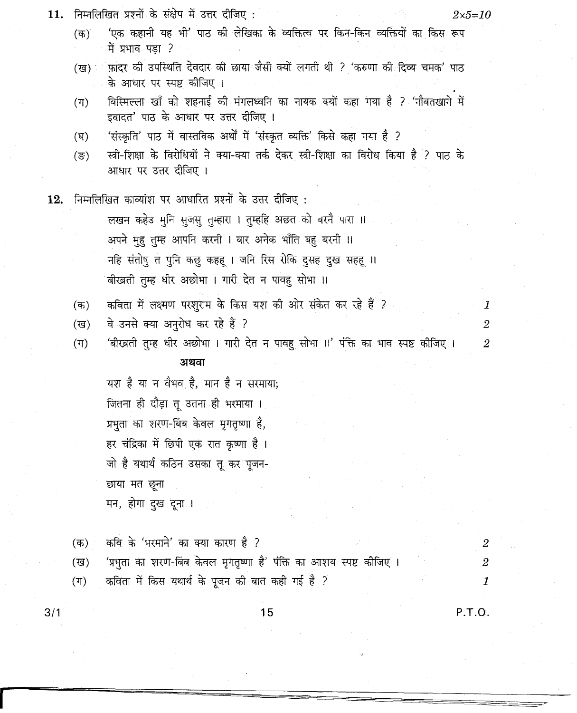| 11. |                  | निम्नलिखित प्रश्नों के संक्षेप में उत्तर दीजिए :<br>$2 \times 5 = 10$                                                |                  |
|-----|------------------|----------------------------------------------------------------------------------------------------------------------|------------------|
|     | $($ क)           | 'एक कहानी यह भी' पाठ की लेखिका के व्यक्तित्व पर किन-किन व्यक्तियों का किस रूप<br>में प्रभाव पड़ा ?                   |                  |
|     | (ख) ।            | फ़ादर की उपस्थिति देवदार की छाया जैसी क्यों लगती थी ? 'करुणा की दिव्य चमक' पाठ<br>के आधार पर स्पष्ट कीजिए ।          |                  |
|     | $(\mathbb{T})$   | बिस्मिल्ला खाँ को शहनाई की मंगलध्वनि का नायक क्यों कहा गया है ? 'नौबतखाने में<br>इबादत' पाठ के आधार पर उत्तर दीजिए । |                  |
|     | (घ)              | 'संस्कृति' पाठ में वास्तविक अर्थों में 'संस्कृत व्यक्ति' किसे कहा गया है ?                                           |                  |
|     | $(\overline{s})$ | स्त्री-शिक्षा के विरोधियों ने क्या-क्या तर्क देकर स्त्री-शिक्षा का विरोध किया है ? पाठ के<br>आधार पर उत्तर दीजिए ।   |                  |
|     |                  | $\bf 12.$ निम्नलिखित काव्यांश पर आधारित प्रश्नों के उत्तर दीजिए :                                                    |                  |
|     |                  | लखन कहेउ मुनि सुजसु तुम्हारा । तुम्हहि अछत को बरनै पारा ॥                                                            |                  |
|     |                  | अपने मुहु तुम्ह आपनि करनी । बार अनेक भाँति बहु बरनी ॥                                                                |                  |
|     |                  | नहि संतोषु त पुनि कछु कहहू । जनि रिस रोकि दुसह दुख सहहू ॥                                                            |                  |
|     |                  | बीखती तुम्ह धीर अछोभा । गारी देत न पावहु सोभा ॥                                                                      |                  |
|     | $($ क)           | कविता में लक्ष्मण परशुराम के किस यश की ओर संकेत कर रहे हैं ?                                                         | 1                |
|     | (ख)              | वे उनसे क्या अनुरोध कर रहे हैं ?                                                                                     | $\boldsymbol{2}$ |
|     | $(\Pi)$          | 'बीखती तुम्ह धीर अछोभा । गारी देत न पावहु सोभा ।।' पंक्ति का भाव स्पष्ट कीजिए ।                                      | $\boldsymbol{2}$ |
|     |                  | अथवा                                                                                                                 |                  |
|     |                  | यश है या न वैभव है, मान है न सरमाया;                                                                                 |                  |
|     |                  | जितना ही दौड़ा तू उतना ही भरमाया ।                                                                                   |                  |
|     |                  | प्रभुता का शरण-बिंब केवल मृगतृष्णा है,                                                                               |                  |
|     |                  | हर चंद्रिका में छिपी एक रात कृष्णा है ।                                                                              |                  |
|     |                  | जो है यथार्थ कठिन उसका तू कर पूजन-                                                                                   |                  |
|     |                  | छाया मत छूना                                                                                                         |                  |
|     |                  | मन, होगा दुख दूना ।                                                                                                  |                  |
|     |                  |                                                                                                                      |                  |
|     | $($ क)           | कवि के 'भरमाने' का क्या कारण है ?                                                                                    | $\mathbf{2}$     |
|     | (ख)              | 'प्रभुता का शरण-बिंब केवल मृगतृष्णा है' पंक्ति का आशय स्पष्ट कीजिए ।                                                 | $\overline{2}$   |
|     | (ग)              | कविता में किस यथार्थ के पूजन की बात कही गई है ?                                                                      | 1                |

 $3/1$ 

15

 $P.T.O.$